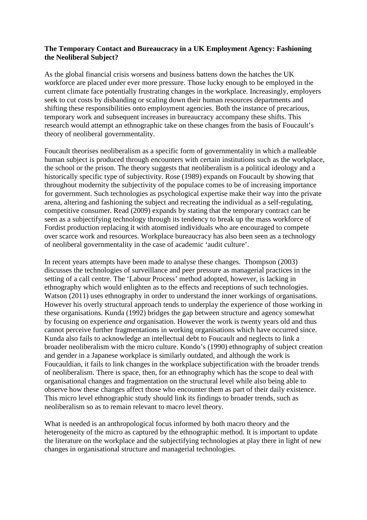## **The Temporary Contact and Bureaucracy in a UK Employment Agency: Fashioning the Neoliberal Subject?**

As the global financial crisis worsens and business battens down the hatches the UK workforce are placed under ever more pressure. Those lucky enough to be employed in the current climate face potentially frustrating changes in the workplace. Increasingly, employers seek to cut costs by disbanding or scaling down their human resources departments and shifting these responsibilities onto employment agencies. Both the instance of precarious, temporary work and subsequent increases in bureaucracy accompany these shifts. This research would attempt an ethnographic take on these changes from the basis of Foucault's theory of neoliberal governmentality.

Foucault theorises neoliberalism as a specific form of governmentality in which a malleable human subject is produced through encounters with certain institutions such as the workplace, the school or the prison. The theory suggests that neoliberalism is a political ideology and a historically specific type of subjectivity. Rose (1989) expands on Foucault by showing that throughout modernity the subjectivity of the populace comes to be of increasing importance for government. Such technologies as psychological expertise make their way into the private arena, altering and fashioning the subject and recreating the individual as a self-regulating, competitive consumer. Read (2009) expands by stating that the temporary contract can be seen as a subjectifying technology through its tendency to break up the mass workforce of Fordist production replacing it with atomised individuals who are encouraged to compete over scarce work and resources. Workplace bureaucracy has also been seen as a technology of neoliberal governmentality in the case of academic 'audit culture'.

In recent years attempts have been made to analyse these changes. Thompson (2003) discusses the technologies of surveillance and peer pressure as managerial practices in the setting of a call centre. The 'Labour Process' method adopted, however, is lacking in ethnography which would enlighten as to the effects and receptions of such technologies. Watson (2011) uses ethnography in order to understand the inner workings of organisations. However his overly structural approach tends to underplay the experience of those working in these organisations. Kunda (1992) bridges the gap between structure and agency somewhat by focusing on experience *and* organisation. However the work is twenty years old and thus cannot perceive further fragmentations in working organisations which have occurred since. Kunda also fails to acknowledge an intellectual debt to Foucault and neglects to link a broader neoliberalism with the micro culture. Kondo's (1990) ethnography of subject creation and gender in a Japanese workplace is similarly outdated, and although the work is Foucauldian, it fails to link changes in the workplace subjectification with the broader trends of neoliberalism. There is space, then, for an ethnography which has the scope to deal with organisational changes and fragmentation on the structural level while also being able to observe how these changes affect those who encounter them as part of their daily existence. This micro level ethnographic study should link its findings to broader trends, such as neoliberalism so as to remain relevant to macro level theory.

What is needed is an anthropological focus informed by both macro theory and the heterogeneity of the micro as captured by the ethnographic method. It is important to update the literature on the workplace and the subjectifying technologies at play there in light of new changes in organisational structure and managerial technologies.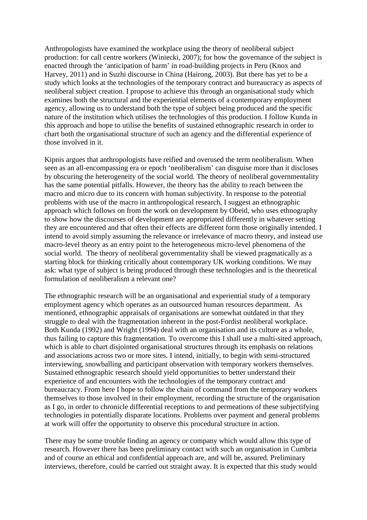Anthropologists have examined the workplace using the theory of neoliberal subject production: for call centre workers (Winiecki, 2007); for how the governance of the subject is enacted through the 'anticipation of harm' in road-building projects in Peru (Knox and Harvey, 2011) and in Suzhi discourse in China (Hairong, 2003). But there has yet to be a study which looks at the technologies of the temporary contract and bureaucracy as aspects of neoliberal subject creation. I propose to achieve this through an organisational study which examines both the structural and the experiential elements of a contemporary employment agency, allowing us to understand both the type of subject being produced and the specific nature of the institution which utilises the technologies of this production. I follow Kunda in this approach and hope to utilise the benefits of sustained ethnographic research in order to chart both the organisational structure of such an agency and the differential experience of those involved in it.

Kipnis argues that anthropologists have reified and overused the term neoliberalism. When seen as an all-encompassing era or epoch 'neoliberalism' can disguise more than it discloses by obscuring the heterogeneity of the social world. The theory of neoliberal governmentality has the same potential pitfalls. However, the theory has the ability to reach between the macro and micro due to its concern with human subjectivity. In response to the potential problems with use of the macro in anthropological research, I suggest an ethnographic approach which follows on from the work on development by Obeid, who uses ethnography to show how the discourses of development are appropriated differently in whatever setting they are encountered and that often their effects are different form those originally intended. I intend to avoid simply assuming the relevance or irrelevance of macro theory, and instead use macro-level theory as an entry point to the heterogeneous micro-level phenomena of the social world. The theory of neoliberal governmentality shall be viewed pragmatically as a starting block for thinking critically about contemporary UK working conditions. We may ask: what type of subject is being produced through these technologies and is the theoretical formulation of neoliberalism a relevant one?

The ethnographic research will be an organisational and experiential study of a temporary employment agency which operates as an outsourced human resources department. As mentioned, ethnographic appraisals of organisations are somewhat outdated in that they struggle to deal with the fragmentation inherent in the post-Fordist neoliberal workplace. Both Kunda (1992) and Wright (1994) deal with an organisation and its culture as a whole, thus failing to capture this fragmentation. To overcome this I shall use a multi-sited approach, which is able to chart disjointed organisational structures through its emphasis on relations and associations across two or more sites. I intend, initially, to begin with semi-structured interviewing, snowballing and participant observation with temporary workers themselves. Sustained ethnographic research should yield opportunities to better understand their experience of and encounters with the technologies of the temporary contract and bureaucracy. From here I hope to follow the chain of command from the temporary workers themselves to those involved in their employment, recording the structure of the organisation as I go, in order to chronicle differential receptions to and permeations of these subjectifying technologies in potentially disparate locations. Problems over payment and general problems at work will offer the opportunity to observe this procedural structure in action.

There may be some trouble finding an agency or company which would allow this type of research. However there has been preliminary contact with such an organisation in Cumbria and of course an ethical and confidential approach are, and will be, assured. Preliminary interviews, therefore, could be carried out straight away. It is expected that this study would